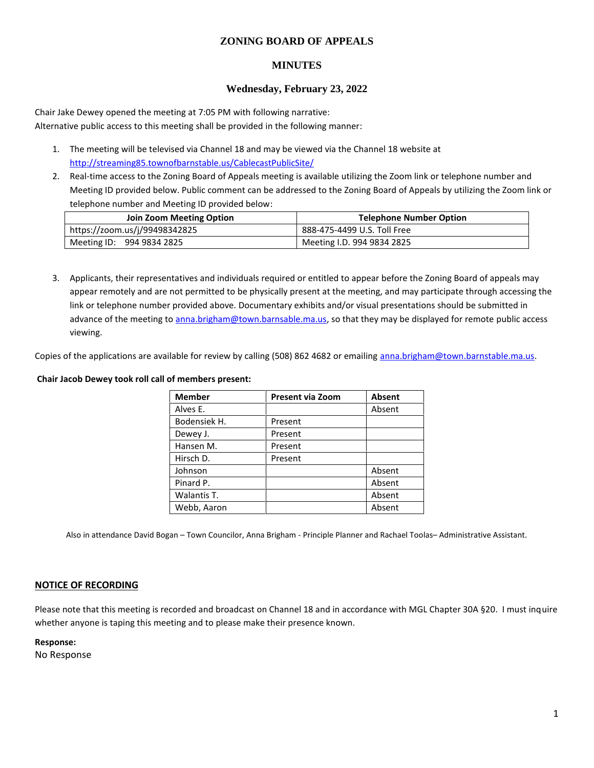# **ZONING BOARD OF APPEALS**

# **MINUTES**

### **Wednesday, February 23, 2022**

Chair Jake Dewey opened the meeting at 7:05 PM with following narrative: Alternative public access to this meeting shall be provided in the following manner:

- 1. The meeting will be televised via Channel 18 and may be viewed via the Channel 18 website at http://streaming85.townofbarnstable.us/CablecastPublicSite/
- 2. Real-time access to the Zoning Board of Appeals meeting is available utilizing the Zoom link or telephone number and Meeting ID provided below. Public comment can be addressed to the Zoning Board of Appeals by utilizing the Zoom link or telephone number and Meeting ID provided below:

| Join Zoom Meeting Option      | <b>Telephone Number Option</b> |  |
|-------------------------------|--------------------------------|--|
| https://zoom.us/j/99498342825 | 888-475-4499 U.S. Toll Free    |  |
| Meeting ID: 994 9834 2825     | Meeting I.D. 994 9834 2825     |  |

3. Applicants, their representatives and individuals required or entitled to appear before the Zoning Board of appeals may appear remotely and are not permitted to be physically present at the meeting, and may participate through accessing the link or telephone number provided above. Documentary exhibits and/or visual presentations should be submitted in advance of the meeting to anna.brigham@town.barnsable.ma.us, so that they may be displayed for remote public access viewing.

Copies of the applications are available for review by calling (508) 862 4682 or emailing anna.brigham@town.barnstable.ma.us.

#### **Chair Jacob Dewey took roll call of members present:**

| <b>Member</b> | <b>Present via Zoom</b> | Absent |
|---------------|-------------------------|--------|
| Alves E.      |                         | Absent |
| Bodensiek H.  | Present                 |        |
| Dewey J.      | Present                 |        |
| Hansen M.     | Present                 |        |
| Hirsch D.     | Present                 |        |
| Johnson       |                         | Absent |
| Pinard P.     |                         | Absent |
| Walantis T.   |                         | Absent |
| Webb, Aaron   |                         | Absent |

Also in attendance David Bogan – Town Councilor, Anna Brigham - Principle Planner and Rachael Toolas– Administrative Assistant.

### **NOTICE OF RECORDING**

Please note that this meeting is recorded and broadcast on Channel 18 and in accordance with MGL Chapter 30A §20. I must inquire whether anyone is taping this meeting and to please make their presence known.

**Response:**

No Response